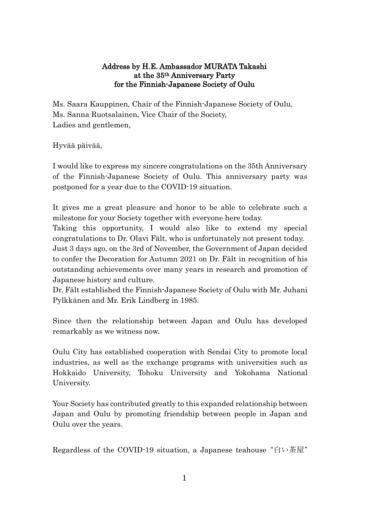## Address by H.E. Ambassador MURATA Takashi at the 35th Anniversary Party for the Finnish-Japanese Society of Oulu

Ms. Saara Kauppinen, Chair of the Finnish-Japanese Society of Oulu, Ms. Sanna Ruotsalainen, Vice Chair of the Society, Ladies and gentlemen,

Hyvää päivää,

I would like to express my sincere congratulations on the 35th Anniversary of the Finnish-Japanese Society of Oulu. This anniversary party was postponed for a year due to the COVID-19 situation.

It gives me a great pleasure and honor to be able to celebrate such a milestone for your Society together with everyone here today.

Taking this opportunity, I would also like to extend my special congratulations to Dr. Olavi Fält, who is unfortunately not present today.

Just 3 days ago, on the 3rd of November, the Government of Japan decided to confer the Decoration for Autumn 2021 on Dr. Fält in recognition of his outstanding achievements over many years in research and promotion of Japanese history and culture.

Dr. Fält established the Finnish-Japanese Society of Oulu with Mr. Juhani Pylkkänen and Mr. Erik Lindberg in 1985.

Since then the relationship between Japan and Oulu has developed remarkably as we witness now.

Oulu City has established cooperation with Sendai City to promote local industries, as well as the exchange programs with universities such as Hokkaido University, Tohoku University and Yokohama National University.

Your Society has contributed greatly to this expanded relationship between Japan and Oulu by promoting friendship between people in Japan and Oulu over the years.

Regardless of the COVID-19 situation, a Japanese teahouse "白い茶屋"